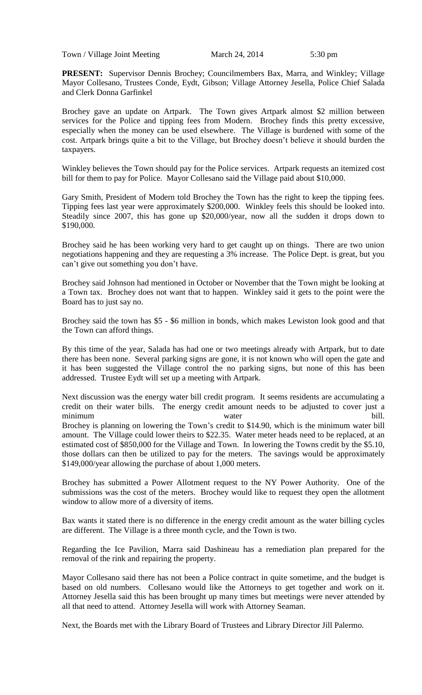Town / Village Joint Meeting March 24, 2014 5:30 pm

**PRESENT:** Supervisor Dennis Brochey; Councilmembers Bax, Marra, and Winkley; Village Mayor Collesano, Trustees Conde, Eydt, Gibson; Village Attorney Jesella, Police Chief Salada and Clerk Donna Garfinkel

Brochey gave an update on Artpark. The Town gives Artpark almost \$2 million between services for the Police and tipping fees from Modern. Brochey finds this pretty excessive, especially when the money can be used elsewhere. The Village is burdened with some of the cost. Artpark brings quite a bit to the Village, but Brochey doesn't believe it should burden the taxpayers.

Winkley believes the Town should pay for the Police services. Artpark requests an itemized cost bill for them to pay for Police. Mayor Collesano said the Village paid about \$10,000.

Gary Smith, President of Modern told Brochey the Town has the right to keep the tipping fees. Tipping fees last year were approximately \$200,000. Winkley feels this should be looked into. Steadily since 2007, this has gone up \$20,000/year, now all the sudden it drops down to \$190,000.

Brochey said he has been working very hard to get caught up on things. There are two union negotiations happening and they are requesting a 3% increase. The Police Dept. is great, but you can't give out something you don't have.

Brochey said Johnson had mentioned in October or November that the Town might be looking at a Town tax. Brochey does not want that to happen. Winkley said it gets to the point were the Board has to just say no.

Brochey said the town has \$5 - \$6 million in bonds, which makes Lewiston look good and that the Town can afford things.

By this time of the year, Salada has had one or two meetings already with Artpark, but to date there has been none. Several parking signs are gone, it is not known who will open the gate and it has been suggested the Village control the no parking signs, but none of this has been addressed. Trustee Eydt will set up a meeting with Artpark.

Next discussion was the energy water bill credit program. It seems residents are accumulating a credit on their water bills. The energy credit amount needs to be adjusted to cover just a minimum bill. Brochey is planning on lowering the Town's credit to \$14.90, which is the minimum water bill amount. The Village could lower theirs to \$22.35. Water meter heads need to be replaced, at an estimated cost of \$850,000 for the Village and Town. In lowering the Towns credit by the \$5.10, those dollars can then be utilized to pay for the meters. The savings would be approximately \$149,000/year allowing the purchase of about 1,000 meters.

Brochey has submitted a Power Allotment request to the NY Power Authority. One of the submissions was the cost of the meters. Brochey would like to request they open the allotment window to allow more of a diversity of items.

Bax wants it stated there is no difference in the energy credit amount as the water billing cycles are different. The Village is a three month cycle, and the Town is two.

Regarding the Ice Pavilion, Marra said Dashineau has a remediation plan prepared for the removal of the rink and repairing the property.

Mayor Collesano said there has not been a Police contract in quite sometime, and the budget is based on old numbers. Collesano would like the Attorneys to get together and work on it. Attorney Jesella said this has been brought up many times but meetings were never attended by all that need to attend. Attorney Jesella will work with Attorney Seaman.

Next, the Boards met with the Library Board of Trustees and Library Director Jill Palermo.